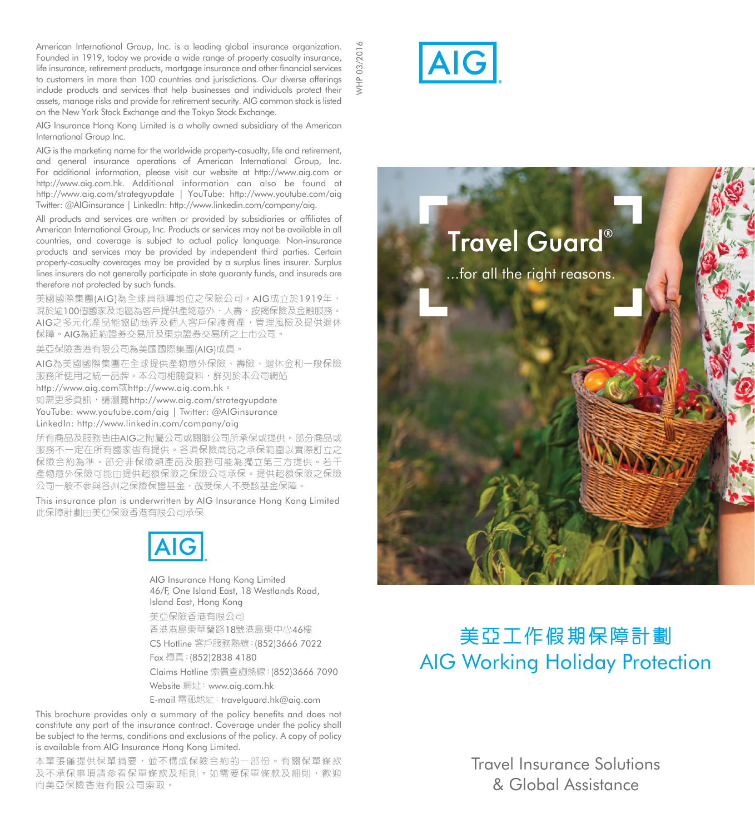American International Group, Inc. is a leading alobal insurance organization. Founded in 1919, today we provide a wide range of property casualty insurance, life insurance, retirement products, mortgage insurance and other financial services to customers in more than 100 countries and jurisdictions. Our diverse offerings include products and services that help businesses and individuals protect their assets, manage risks and provide for retirement security. AIG common stock is listed on the New York Stock Exchange and the Tokyo Stock Exchange.

2016 WHP 03/2016

AIG Insurance Hong Kong Limited is a wholly owned subsidiary of the American International Group Inc.

AIG is the marketing name for the worldwide property-casualty, life and retirement and general insurance operations of American International Group, Inc. For additional information, please visit our website at http://www.aig.com or http://www.aig.com.hk. Additional information can also be found at http://www.aig.com/strategyupdate | YouTube: http://www.youtube.com/aig Twitter: @AIGinsurance | LinkedIn: http://www.linkedin.com/company/aig.

All products and services are written or provided by subsidiaries or affiliates of American International Group, Inc. Products or services may not be available in all countries, and coverage is subject to actual policy language. Non-insurance products and services may be provided by independent third parties. Certain property-casualty coverages may be provided by a surplus lines insurer. Surplus lines insurers do not generally participate in state guaranty funds, and insureds are therefore not protected by such funds.

美國國際集團(AIG)為全球具領導地位之保險公司。AIG成立於1919年, 現於逾100個國家及地區為客戶提供產物意外、人壽、按揭保險及金融服務。 AIG之多元化產品能協助商界及個人客戶保護資產,管理風險及提供退休 保障。AIG為紐約證券交易所及東京證券交易所之上市公司。

美亞保險香港有限公司為美國國際集團(AIG)成員。

AIG為美國國際集團在全球提供產物意外保險、壽險、退休金和一般保險 服務所使用之統一品牌。本公司相關資料,詳列於本公司網站 http://www.aig.com或http://www.aig.com.hk。

如需更多資訊,請瀏覽http://www.aig.com/strategyupdate YouTube: www.youtube.com/aig | Twitter: @AIGinsurance

LinkedIn: http://www.linkedin.com/company/aig

所有商品及服務皆由AIG之附屬公司或關聯公司所承保或提供。部分商品或 服務不一定在所有國家皆有提供。各項保險商品之承保範圍以實際訂立之 保險合約為準。部分非保險類產品及服務可能為獨立第三方提供。若干 產物意外保險可能由提供超額保險之保險公司承保。提供超額保險之保險 公司一般不參與各州之保險保證基金,故受保人不受該基金保障。

This insurance plan is underwritten by AIG Insurance Hong Kong Limited 此保障計劃由美亞保險香港有限公司承保



AIG Insurance Hong Kong Limited 46/F, One Island East, 18 Westlands Road, Island East, Hong Kong

美亞保險香港有限公司 香港港島東華蘭路18號港島東中心46樓 CS Hotline 客戶服務熱線:(852)3666 7022 Fax 傳真:(852)2838 4180 Claims Hotline 索償查詢熱線:(852)3666 7090

Website 網址: www.aig.com.hk

E-mail 電郵地址: travelauard.hk@aig.com

This brochure provides only a summary of the policy benefits and does not constitute any part of the insurance contract. Coverage under the policy shall be subject to the terms, conditions and exclusions of the policy. A copy of policy is available from AIG Insurance Hong Kong Limited.

本單張僅提供保單摘要,並不構成保險合約的一部份。有關保單條款 及不承保事項請參看保單條款及細則。如需要保單條款及細則,歡迎 向美亞保險香港有限公司索取。



# **Travel Guard®** ...for all the right reasons.

# 美亞工作假期保障計劃 AIG Working Holiday Protection

Travel Insurance Solutions & Global Assistance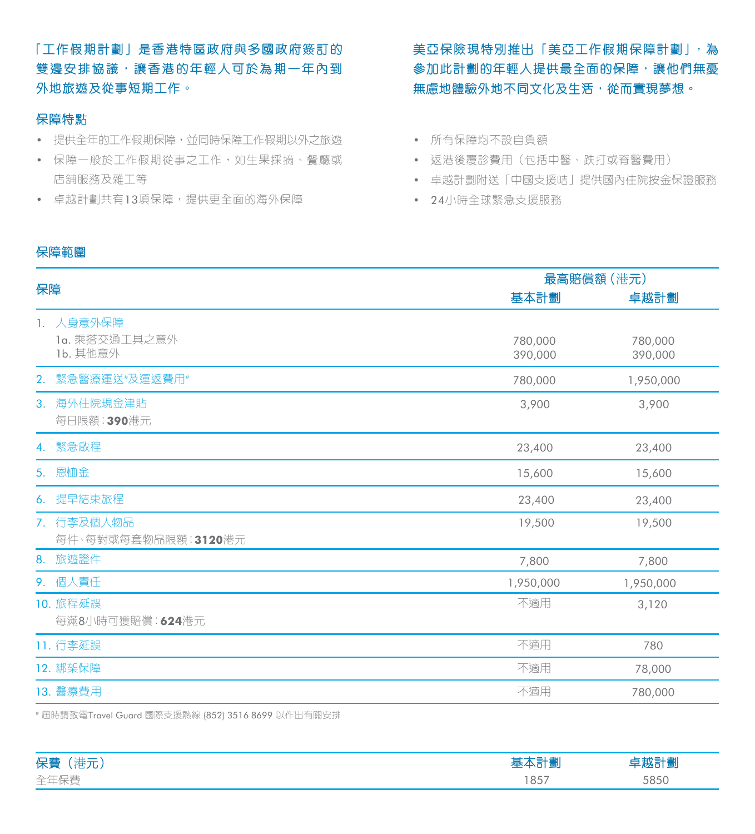「工作假期計劃」是香港特區政府與多國政府簽訂的 雙邊安排協議,讓香港的年輕人可於為期一年內到 外地旅遊及從事短期工作。

# 保障特點

- 提供全年的工作假期保障,並同時保障工作假期以外之旅遊
- 保障一般於工作假期從事之工作,如生果採摘、餐廳或 店舖服務及雜工等
- 卓越計劃共有13項保障,提供更全面的海外保障

美亞保險現特別推出「美亞工作假期保障計劃」,為 參加此計劃的年輕人提供最全面的保障,讓他們無憂 無慮地體驗外地不同文化及生活,從而實現夢想。

- 所有保障均不設自負額
	- 返港後覆診費用(包括中醫、跌打或脊醫費用)
		- 卓越計劃附送「中國支援咭」提供國內住院按金保證服務
		- 24小時全球緊急支援服務

# 保障範圍

| 最高賠償額 (港元)         |                    |
|--------------------|--------------------|
| 基本計劃               | 卓越計劃               |
| 780,000<br>390,000 | 780,000<br>390,000 |
| 780,000            | 1,950,000          |
| 3,900              | 3,900              |
| 23,400             | 23,400             |
| 15,600             | 15,600             |
| 23,400             | 23,400             |
| 19,500             | 19,500             |
| 7,800              | 7,800              |
| 1,950,000          | 1,950,000          |
| 不適用                | 3,120              |
| 不適用                | 780                |
| 不適用                | 78,000             |
| 不適用                | 780,000            |
|                    |                    |

# 屆時請致電Travel Guard 國際支援熱線 (852) 3516 8699 以作出有關安排

| 保費<br>مستعمد فبالبارز |           |      |
|-----------------------|-----------|------|
| 全汁保養<br>__            | O E<br>◡◡ | 5951 |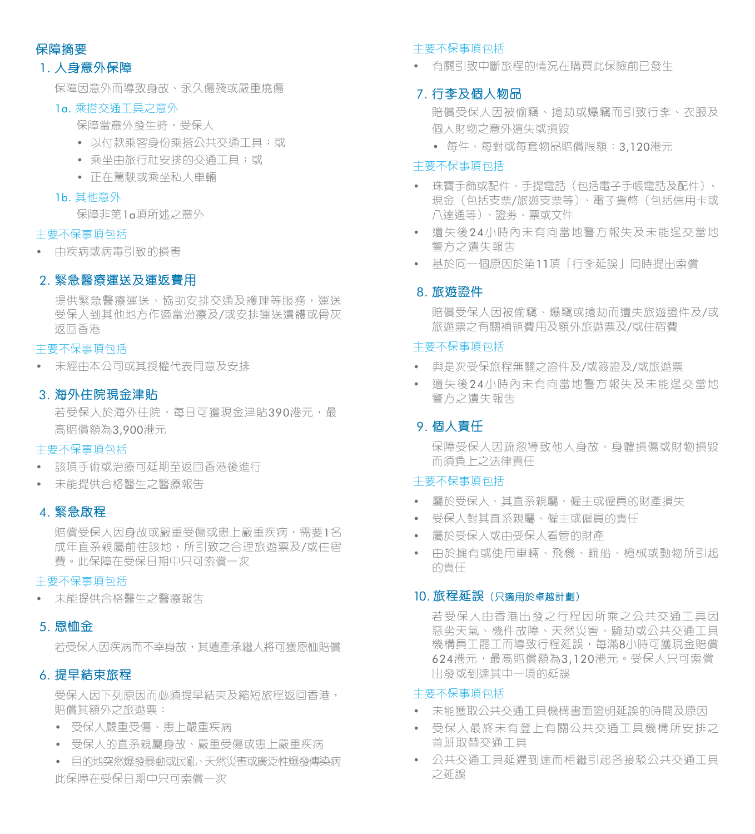# 保障摘要

# 1. 人身意外保障

保障因意外而導致身故、永久傷殘或嚴重燒傷

# 1a. 乘搭交通工具之意外

保障當意外發生時,受保人

- 以付款乘客身份乘搭公共交通工具;或
- 乘坐由旅行社安排的交通工具;或
- 正在駕駛或乘坐私人車輛

# 1b. 其他意外

保障非第1a項所述之意外

### 主要不保事項包括

• 由疾病或病毒引致的損害

# 2. 緊急醫療運送及運返費用

提供緊急醫療運送、協助安排交通及護理等服務,運送 受保人到其他地方作適當治療及/或安排運送遺體或骨灰 返回香港

# 主要不保事項包括

• 未經由本公司或其授權代表同意及安排

# 3. 海外住院現金津貼

若受保人於海外住院,每日可獲現金津貼390港元,最 高賠償額為3,900港元

# 主要不保事項包括

- 該項手術或治療可延期至返回香港後進行
- 未能提供合格醫生之醫療報告

# 4. 緊急啟程

賠償受保人因身故或嚴重受傷或患上嚴重疾病,需要1名 成年直系親屬前往該地,所引致之合理旅遊票及/或住宿 費。此保障在受保日期中只可索償一次

### 主要不保事項包括

• 未能提供合格醫生之醫療報告

# 5. 恩恤金

若受保人因疾病而不幸身故,其遺產承繼人將可獲恩恤賠償

# 6. 提早結束旅程

受保人因下列原因而必須提早結束及縮短旅程返回香港, 賠償其額外之旅遊票:

- 受保人嚴重受傷、患上嚴重疾病
- 受保人的直系親屬身故、嚴重受傷或患上嚴重疾病
- 目的地突然爆發暴動或民亂、天然災害或廣泛性爆發傳染病 此保障在受保日期中只可索償一次

### 主要不保事項包括

• 有關引致中斷旅程的情況在購買此保險前已發生

# 7. 行李及個人物品

賠償受保人因被偷竊、搶劫或爆竊而引致行李、衣服及 個人財物之意外遺失或損毀

• 每件、每對或每套物品賠償限額:3,120港元

# 主要不保事項包括

- 珠寶手飾或配件、手提電話(包括電子手帳電話及配件)、 現金(包括支票/旅遊支票等)、電子貨幣(包括信用卡或 八達通等)、證劵、票或文件
- 遺失後24小時內未有向當地警方報失及未能逞交當地 警方之遺失報告
- 基於同一個原因於第11項「行李延誤」同時提出索償

# 8. 旅遊證件

賠償受保人因被偷竊、爆竊或搶劫而遺失旅遊證件及/或 旅遊票之有關補領費用及額外旅遊票及/或住宿費

# 主要不保事項包括

- 與是次受保旅程無關之證件及/或簽證及/或旅遊票
- 遺失後24小時內未有向當地警方報失及未能逞交當地 警方之遺失報告

# 9. 個人責任

保障受保人因疏忽導致他人身故、身體損傷或財物損毀 而須負上之法律責任

# 主要不保事項包括

- 屬於受保人、其直系親屬、僱主或僱員的財產損失
- 受保人對其直系親屬、僱主或僱員的責任
- 屬於受保人或由受保人看管的財產
- 由於擁有或使用車輛、飛機、輪船、槍械或動物所引起 的責任

# 10. 旅程延誤(只適用於卓越計劃)

若受保人由香港出發之行程因所乘之公共交通工具因 惡劣天氣、機件故障、天然災害、騎劫或公共交通工具 機構員工罷工而導致行程延誤,每滿8小時可獲現金賠償 624港元,最高賠償額為3,120港元。受保人只可索償 出發或到達其中一項的延誤

### 主要不保事項包括

- 未能獲取公共交通工具機構書面證明延誤的時間及原因
- 受保人最終未有登上有關公共交通工具機構所安排之 首班取替交通工具
- 公共交通工具延遲到達而相繼引起各接駁公共交通工具 之延誤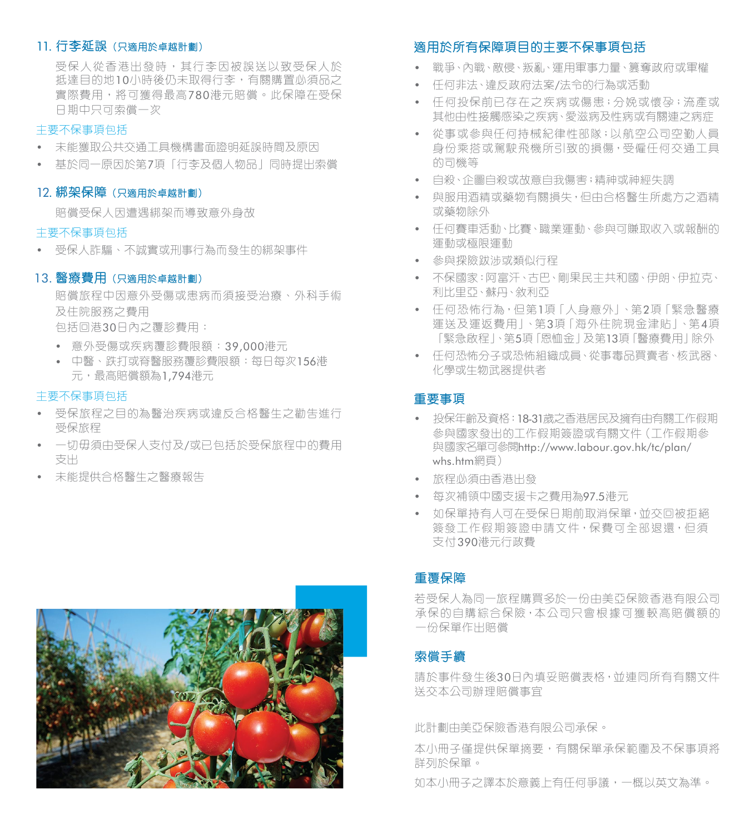# 11. 行李延誤(只適用於卓越計劃)

受保人從香港出發時,其行李因被誤送以致受保人於 抵達目的地10小時後仍未取得行李,有關購置必須品之 實際費用,將可獲得最高780港元賠償。此保障在受保 日期中只可索償一次

# 主要不保事項包括

- 未能獲取公共交通工具機構書面證明延誤時間及原因
- 基於同一原因於第7項「行李及個人物品」同時提出索償

### 12. 綁架保障 (只適用於卓越計劃)

賠償受保人因遭遇綁架而導致意外身故

### 主要不保事項包括

• 受保人詐騙、不誠實或刑事行為而發生的綁架事件

# 13. 醫療費用(只適用於卓越計劃)

賠償旅程中因意外受傷或患病而須接受治療、外科手術 及住院服務之費用

包括回港30日內之覆診費用:

- 意外受傷或疾病覆診費限額:39,000港元
- 中醫、跌打或脊醫服務覆診費限額:每日每次156港 元,最高賠償額為1.794港元

# 主要不保事項包括

- 受保旅程之目的為醫治疾病或違反合格醫生之勸告進行 受保旅程
- 一切毋須由受保人支付及/或已包括於受保旅程中的費用 支出
- 未能提供合格醫生之醫療報告



# 適用於所有保障項目的主要不保事項包括

- 戰爭、內戰、敵侵、叛亂、運用軍事力量、篡奪政府或軍權
- 任何非法、違反政府法案/法令的行為或活動
- 任何投保前已存在之疾病或傷患;分娩或懷孕;流產或 其他由性接觸感染之疾病、愛滋病及性病或有關連之病症
- 從事或參與任何持械紀律性部隊;以航空公司空勤人員 身份乘搭或駕駛飛機所引致的損傷,受僱任何交通工具 的司機等
- 自殺、企圖自殺或故意自我傷害;精神或神經失調
- 與服用酒精或藥物有關損失,但由合格醫生所處方之酒精 或藥物除外
- 任何賽車活動、比賽、職業運動、參與可賺取收入或報酬的 運動或極限運動
- 參與探險跋涉或類似行程
- 不保國家:阿富汗、古巴、剛果民主共和國、伊朗、伊拉克、 利比里亞、蘇丹、敘利亞
- 任何恐怖行為,但第1項「人身意外」、第2項「緊急醫療 運送及運返費用」、第3項「海外住院現金津貼」、第4項 「緊急啟程」、第5項「恩恤金」及第13項「醫療費用」除外
- 任何恐怖分子或恐怖組織成員、從事毒品買賣者、核武器、 化學或生物武器提供者

# 重要事項

- 投保年齡及資格:18-31歲之香港居民及擁有由有關工作假期 參與國家發出的工作假期簽證或有關文件(工作假期參 與國家名單可參閱http://www.labour.gov.hk/tc/plan/ whs.htm網頁)
- 旅程必須由香港出發
- 每次補領中國支援卡之費用為97.5港元
- 如保單持有人可在受保日期前取消保單, 並交回被拒絕 簽發工作假期簽證申請文件,保費可全部退還,但須 支付390港元行政費

# 重覆保障

若受保人為同一旅程購買多於一份由美亞保險香港有限公司 承保的自購綜合保險,本公司只會根據可獲較高賠償額的 一份保單作出賠償

# 索償手續

請於事件發生後30日內填妥賠償表格,並連同所有有關文件 送交本公司辦理賠償事宜

此計劃由美亞保險香港有限公司承保。

本小冊子僅提供保單摘要,有關保單承保範圍及不保事項將 詳列於保單。

如本小冊子之譯本於意義上有任何爭議,一概以英文為準。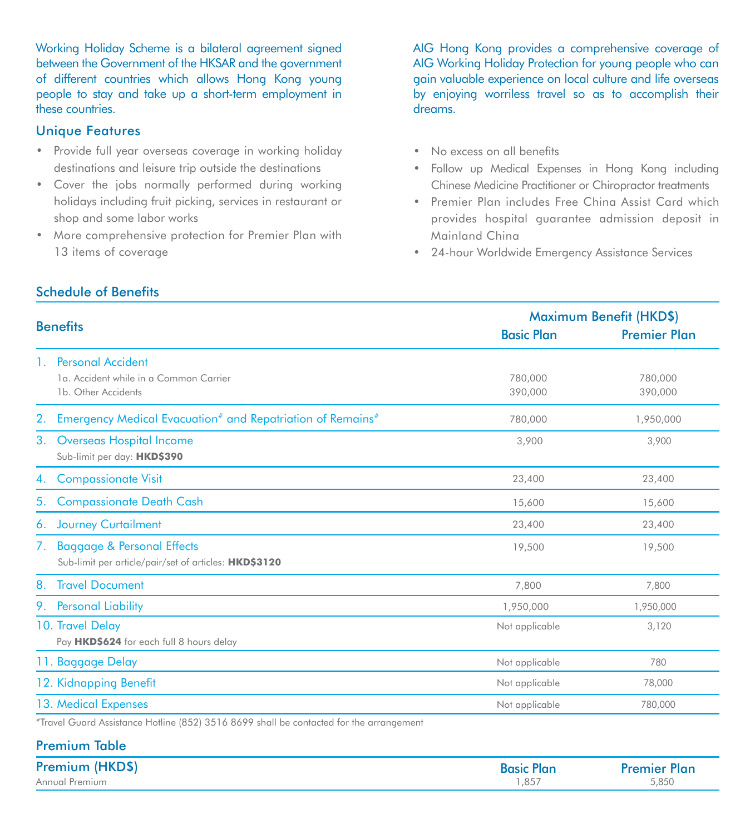Working Holiday Scheme is a bilateral agreement signed between the Government of the HKSAR and the government of different countries which allows Hong Kong young people to stay and take up a short-term employment in these countries.

# Unique Features

- Provide full year overseas coverage in working holiday destinations and leisure trip outside the destinations
- Cover the jobs normally performed during working holidays including fruit picking, services in restaurant or shop and some labor works
- More comprehensive protection for Premier Plan with 13 items of coverage

AIG Hong Kong provides a comprehensive coverage of AIG Working Holiday Protection for young people who can gain valuable experience on local culture and life overseas by enjoying worriless travel so as to accomplish their dreams.

- No excess on all benefits
- Follow up Medical Expenses in Hong Kong including Chinese Medicine Practitioner or Chiropractor treatments
- Premier Plan includes Free China Assist Card which provides hospital guarantee admission deposit in Mainland China
- 24-hour Worldwide Emergency Assistance Services

|                                                                                               |                    | Maximum Benefit (HKD\$) |  |
|-----------------------------------------------------------------------------------------------|--------------------|-------------------------|--|
| <b>Benefits</b>                                                                               | <b>Basic Plan</b>  | <b>Premier Plan</b>     |  |
| 1. Personal Accident<br>1a. Accident while in a Common Carrier<br>1b. Other Accidents         | 780,000<br>390,000 | 780,000<br>390,000      |  |
| 2. Emergency Medical Evacuation <sup>#</sup> and Repatriation of Remains <sup>#</sup>         | 780,000            | 1,950,000               |  |
| 3.<br>Overseas Hospital Income<br>Sub-limit per day: HKD\$390                                 | 3,900              | 3,900                   |  |
| <b>Compassionate Visit</b><br>4.                                                              | 23,400             | 23,400                  |  |
| <b>Compassionate Death Cash</b><br>5.                                                         | 15,600             | 15,600                  |  |
| 6. Journey Curtailment                                                                        | 23,400             | 23,400                  |  |
| 7. Baggage & Personal Effects<br>Sub-limit per article/pair/set of articles: <b>HKD\$3120</b> | 19,500             | 19,500                  |  |
| 8. Travel Document                                                                            | 7,800              | 7,800                   |  |
| 9. Personal Liability                                                                         | 1,950,000          | 1,950,000               |  |
| 10. Travel Delay<br>Pay HKD\$624 for each full 8 hours delay                                  | Not applicable     | 3,120                   |  |
| 11. Baggage Delay                                                                             | Not applicable     | 780                     |  |
| 12. Kidnapping Benefit                                                                        | Not applicable     | 78,000                  |  |
| 13. Medical Expenses                                                                          | Not applicable     | 780,000                 |  |
| #Traited Curried Applement Hotling (959) 9514 9400 shall be contrated for the expresence of   |                    |                         |  |

Travel Guard Assistance Hotline (852) 3516 8699 shall be contacted for the arrangement

| <b>Premium Table</b> |                   |                     |
|----------------------|-------------------|---------------------|
| Premium (HKD\$)      | <b>Basic Plan</b> | <b>Premier Plan</b> |
| Annual Premium       | 1.857             | 5.850               |

# Schedule of Benefits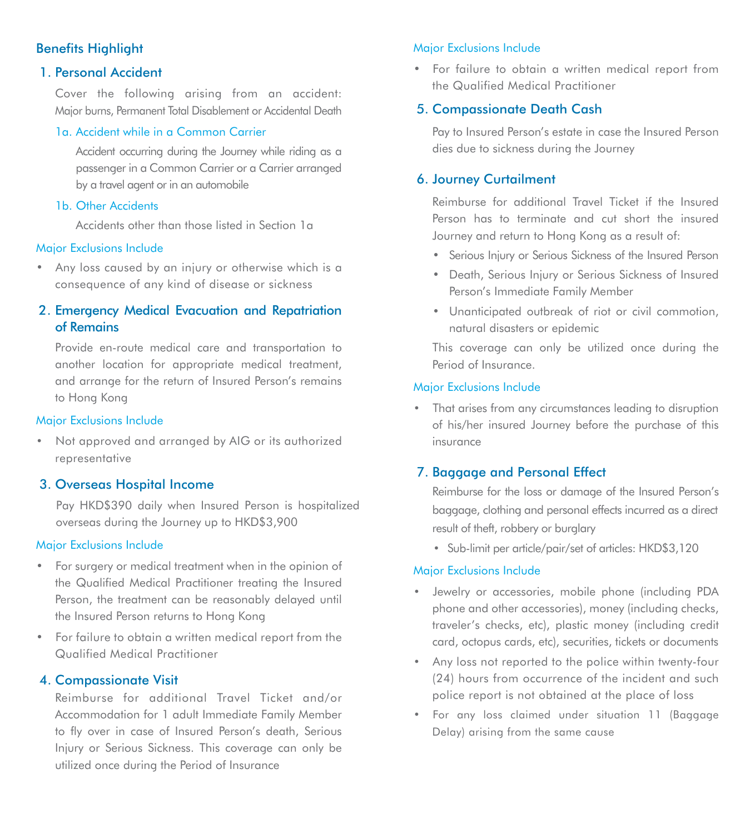# **Benefits Highlight**

# 1. Personal Accident

Cover the following arising from an accident: Major burns, Permanent Total Disablement or Accidental Death

# 1a. Accident while in a Common Carrier

Accident occurring during the Journey while riding as a passenger in a Common Carrier or a Carrier arranged by a travel agent or in an automobile

# 1**b.** Other Accidents

Accidents other than those listed in Section 1a

# Major Exclusions Include

• Any loss caused by an injury or otherwise which is a consequence of any kind of disease or sickness

# 2. Emergency Medical Evacuation and Repatriation of Remains

Provide en-route medical care and transportation to another location for appropriate medical treatment, and arrange for the return of Insured Person's remains to Hong Kong

# Major Exclusions Include

• Not approved and arranged by AIG or its authorized representative

# 3. Overseas Hospital Income

Pay HKD\$390 daily when Insured Person is hospitalized overseas during the Journey up to HKD\$3,900

# Major Exclusions Include

- For surgery or medical treatment when in the opinion of the Qualified Medical Practitioner treating the Insured Person, the treatment can be reasonably delayed until the Insured Person returns to Hong Kong
- For failure to obtain a written medical report from the Qualified Medical Practitioner

# 4. Compassionate Visit

Reimburse for additional Travel Ticket and/or Accommodation for 1 adult Immediate Family Member to fly over in case of Insured Person's death, Serious Injury or Serious Sickness. This coverage can only be utilized once during the Period of Insurance

# Major Exclusions Include

• For failure to obtain a written medical report from the Qualified Medical Practitioner

# 5. Compassionate Death Cash

Pay to Insured Person's estate in case the Insured Person dies due to sickness during the Journey

# 6. Journey Curtailment

Reimburse for additional Travel Ticket if the Insured Person has to terminate and cut short the insured Journey and return to Hong Kong as a result of:

- Serious Injury or Serious Sickness of the Insured Person
- Death, Serious Injury or Serious Sickness of Insured Person's Immediate Family Member
- Unanticipated outbreak of riot or civil commotion, natural disasters or epidemic

This coverage can only be utilized once during the Period of Insurance.

# Major Exclusions Include

• That arises from any circumstances leading to disruption of his/her insured Journey before the purchase of this insurance

# 7. Baggage and Personal Effect

Reimburse for the loss or damage of the Insured Person's baggage, clothing and personal effects incurred as a direct result of theft, robbery or burglary

• Sub-limit per article/pair/set of articles: HKD\$3,120

# Major Exclusions Include

- Jewelry or accessories, mobile phone (including PDA phone and other accessories), money (including checks, traveler's checks, etc), plastic money (including credit card, octopus cards, etc), securities, tickets or documents
- Any loss not reported to the police within twenty-four (24) hours from occurrence of the incident and such police report is not obtained at the place of loss
- For any loss claimed under situation 11 (Baggage Delay) arising from the same cause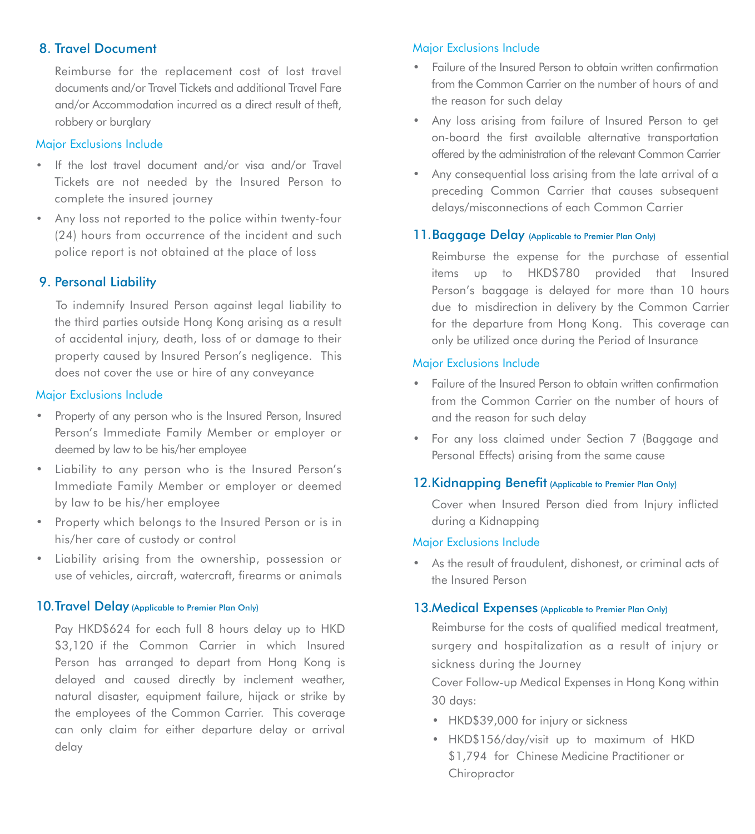# 8. Travel Document

Reimburse for the replacement cost of lost travel documents and/or Travel Tickets and additional Travel Fare and/or Accommodation incurred as a direct result of theft, robbery or burglary

# Major Exclusions Include

- If the lost travel document and/or visa and/or Travel Tickets are not needed by the Insured Person to complete the insured journey
- Any loss not reported to the police within twenty-four (24) hours from occurrence of the incident and such police report is not obtained at the place of loss

# 9. Personal Liability

 To indemnify Insured Person against legal liability to the third parties outside Hong Kong arising as a result of accidental injury, death, loss of or damage to their property caused by Insured Person's negligence. This does not cover the use or hire of any conveyance

# Major Exclusions Include

- Property of any person who is the Insured Person, Insured Person's Immediate Family Member or employer or deemed by law to be his/her employee
- Liability to any person who is the Insured Person's Immediate Family Member or employer or deemed by law to be his/her employee
- Property which belongs to the Insured Person or is in his/her care of custody or control
- Liability arising from the ownership, possession or use of vehicles, aircraft, watercraft, firearms or animals

# 10. Travel Delay (Applicable to Premier Plan Only)

Pay HKD\$624 for each full 8 hours delay up to HKD \$3,120 if the Common Carrier in which Insured Person has arranged to depart from Hong Kong is delayed and caused directly by inclement weather, natural disaster, equipment failure, hijack or strike by the employees of the Common Carrier. This coverage can only claim for either departure delay or arrival delay

# Major Exclusions Include

- Failure of the Insured Person to obtain written confirmation from the Common Carrier on the number of hours of and the reason for such delay
- Any loss arising from failure of Insured Person to get on-board the first available alternative transportation offered by the administration of the relevant Common Carrier
- Any consequential loss arising from the late arrival of a preceding Common Carrier that causes subsequent delays/misconnections of each Common Carrier

# 11. Baggage Delay (Applicable to Premier Plan Only)

Reimburse the expense for the purchase of essential items up to HKD\$780 provided that Insured Person's baggage is delayed for more than 10 hours due to misdirection in delivery by the Common Carrier for the departure from Hong Kong. This coverage can only be utilized once during the Period of Insurance

# Major Exclusions Include

- Failure of the Insured Person to obtain written confirmation from the Common Carrier on the number of hours of and the reason for such delay
- For any loss claimed under Section 7 (Baggage and Personal Effects) arising from the same cause

# 12. Kidnapping Benefit (Applicable to Premier Plan Only)

Cover when Insured Person died from Injury inflicted during a Kidnapping

### Major Exclusions Include

• As the result of fraudulent, dishonest, or criminal acts of the Insured Person

# 13.Medical Expenses (Applicable to Premier Plan Only)

Reimburse for the costs of qualified medical treatment, surgery and hospitalization as a result of injury or sickness during the Journey

Cover Follow-up Medical Expenses in Hong Kong within 30 days:

- HKD\$39,000 for injury or sickness
- HKD\$156/day/visit up to maximum of HKD \$1,794 for Chinese Medicine Practitioner or **Chiropractor**